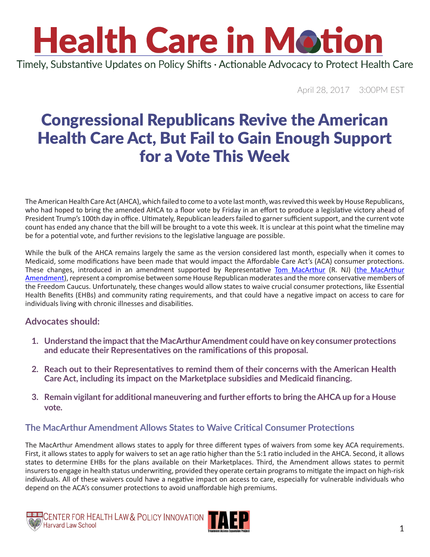Timely, Substantive Updates on Policy Shifts · Actionable Advocacy to Protect Health Care

April 28, 2017 3:00PM EST

### Congressional Republicans Revive the American Health Care Act, But Fail to Gain Enough Support for a Vote This Week

The American Health Care Act (AHCA), which failed to come to a vote last month, was revived this week by House Republicans, who had hoped to bring the amended AHCA to a floor vote by Friday in an effort to produce a legislative victory ahead of President Trump's 100th day in office. Ultimately, Republican leaders failed to garner sufficient support, and the current vote count has ended any chance that the bill will be brought to a vote this week. It is unclear at this point what the timeline may be for a potential vote, and further revisions to the legislative language are possible.

While the bulk of the AHCA remains largely the same as the version considered last month, especially when it comes to Medicaid, some modifications have been made that would impact the Affordable Care Act's (ACA) consumer protections. These changes, introduced in an amendment supported by Representative [Tom MacArthur](https://macarthur.house.gov/contact) (R. NJ) (the MacArthur [Amendment](http://www.politico.com/f/?id=0000015b-a790-d120-addb-f7dc0ec90000)), represent a compromise between some House Republican moderates and the more conservative members of the Freedom Caucus. Unfortunately, these changes would allow states to waive crucial consumer protections, like Essential Health Benefits (EHBs) and community rating requirements, and that could have a negative impact on access to care for individuals living with chronic illnesses and disabilities.

#### **Advocates should:**

- **1. Understand the impact that the MacArthurAmendment could have on key consumer protections and educate their Representatives on the ramifications of this proposal.**
- **2. Reach out to their Representatives to remind them of their concerns with the American Health Care Act, including its impact on the Marketplace subsidies and Medicaid financing.**
- **3. Remain vigilant for additional maneuvering and further efforts to bring the AHCAup for a House vote.**

#### **The MacArthur Amendment Allows States to Waive Critical Consumer Protections**

The MacArthur Amendment allows states to apply for three different types of waivers from some key ACA requirements. First, it allows states to apply for waivers to set an age ratio higher than the 5:1 ratio included in the AHCA. Second, it allows states to determine EHBs for the plans available on their Marketplaces. Third, the Amendment allows states to permit insurers to engage in health status underwriting, provided they operate certain programs to mitigate the impact on high-risk individuals. All of these waivers could have a negative impact on access to care, especially for vulnerable individuals who depend on the ACA's consumer protections to avoid unaffordable high premiums.



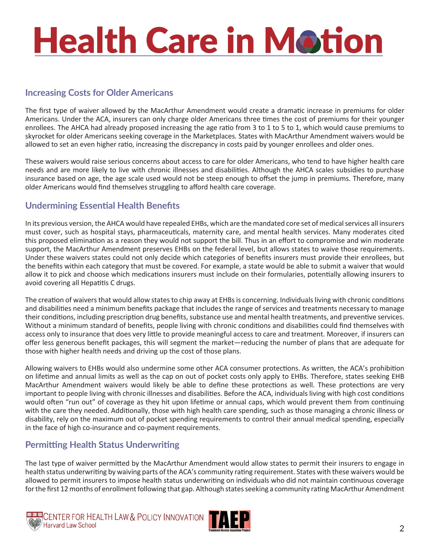#### **Increasing Costs for Older Americans**

The first type of waiver allowed by the MacArthur Amendment would create a dramatic increase in premiums for older Americans. Under the ACA, insurers can only charge older Americans three times the cost of premiums for their younger enrollees. The AHCA had already proposed increasing the age ratio from 3 to 1 to 5 to 1, which would cause premiums to skyrocket for older Americans seeking coverage in the Marketplaces. States with MacArthur Amendment waivers would be allowed to set an even higher ratio, increasing the discrepancy in costs paid by younger enrollees and older ones.

These waivers would raise serious concerns about access to care for older Americans, who tend to have higher health care needs and are more likely to live with chronic illnesses and disabilities. Although the AHCA scales subsidies to purchase insurance based on age, the age scale used would not be steep enough to offset the jump in premiums. Therefore, many older Americans would find themselves struggling to afford health care coverage.

#### **Undermining Essential Health Benefits**

In its previous version, the AHCA would have repealed EHBs, which are the mandated core set of medical services all insurers must cover, such as hospital stays, pharmaceuticals, maternity care, and mental health services. Many moderates cited this proposed elimination as a reason they would not support the bill. Thus in an effort to compromise and win moderate support, the MacArthur Amendment preserves EHBs on the federal level, but allows states to waive those requirements. Under these waivers states could not only decide which categories of benefits insurers must provide their enrollees, but the benefits within each category that must be covered. For example, a state would be able to submit a waiver that would allow it to pick and choose which medications insurers must include on their formularies, potentially allowing insurers to avoid covering all Hepatitis C drugs.

The creation of waivers that would allow states to chip away at EHBs is concerning. Individuals living with chronic conditions and disabilities need a minimum benefits package that includes the range of services and treatments necessary to manage their conditions, including prescription drug benefits, substance use and mental health treatments, and preventive services. Without a minimum standard of benefits, people living with chronic conditions and disabilities could find themselves with access only to insurance that does very little to provide meaningful access to care and treatment. Moreover, if insurers can offer less generous benefit packages, this will segment the market—reducing the number of plans that are adequate for those with higher health needs and driving up the cost of those plans.

Allowing waivers to EHBs would also undermine some other ACA consumer protections. As written, the ACA's prohibition on lifetime and annual limits as well as the cap on out of pocket costs only apply to EHBs. Therefore, states seeking EHB MacArthur Amendment waivers would likely be able to define these protections as well. These protections are very important to people living with chronic illnesses and disabilities. Before the ACA, individuals living with high cost conditions would often "run out" of coverage as they hit upon lifetime or annual caps, which would prevent them from continuing with the care they needed. Additionally, those with high health care spending, such as those managing a chronic illness or disability, rely on the maximum out of pocket spending requirements to control their annual medical spending, especially in the face of high co-insurance and co-payment requirements.

#### **Permitting Health Status Underwriting**

The last type of waiver permitted by the MacArthur Amendment would allow states to permit their insurers to engage in health status underwriting by waiving parts of the ACA's community rating requirement. States with these waivers would be allowed to permit insurers to impose health status underwriting on individuals who did not maintain continuous coverage for the first 12 months of enrollment following that gap. Although states seeking a community rating MacArthur Amendment



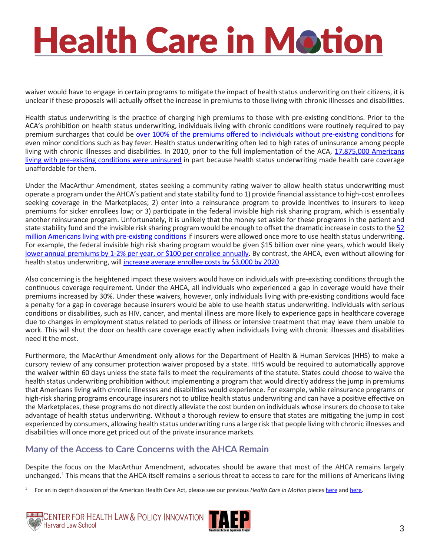waiver would have to engage in certain programs to mitigate the impact of health status underwriting on their citizens, it is unclear if these proposals will actually offset the increase in premiums to those living with chronic illnesses and disabilities.

Health status underwriting is the practice of charging high premiums to those with pre-existing conditions. Prior to the ACA's prohibition on health status underwriting, individuals living with chronic conditions were routinely required to pay premium surcharges that could be [over 100% of the premiums offered to individuals without pre-existing conditions](http://kff.org/health-costs/report/how-accessible-is-individual-health-insurance-for-2/) for even minor conditions such as hay fever. Health status underwriting often led to high rates of uninsurance among people living with chronic illnesses and disabilities. In 2010, prior to the full implementation of the ACA, [17,875,000 Americans](https://aspe.hhs.gov/system/files/pdf/255396/Pre-ExistingConditions.pdf) [living with pre-existing conditions were uninsured](https://aspe.hhs.gov/system/files/pdf/255396/Pre-ExistingConditions.pdf) in part because health status underwriting made health care coverage unaffordable for them.

Under the MacArthur Amendment, states seeking a community rating waiver to allow health status underwriting must operate a program under the AHCA's patient and state stability fund to 1) provide financial assistance to high-cost enrollees seeking coverage in the Marketplaces; 2) enter into a reinsurance program to provide incentives to insurers to keep premiums for sicker enrollees low; or 3) participate in the federal invisible high risk sharing program, which is essentially another reinsurance program. Unfortunately, it is unlikely that the money set aside for these programs in the patient and state stability fund and the invisible risk sharing program would be enough to offset the dramatic increase in costs to the [52](http://kff.org/health-reform/issue-brief/pre-existing-conditions-and-medical-underwriting-in-the-individual-insurance-market-prior-to-the-aca/) [million Americans living with pre-existing conditions](http://kff.org/health-reform/issue-brief/pre-existing-conditions-and-medical-underwriting-in-the-individual-insurance-market-prior-to-the-aca/) if insurers were allowed once more to use health status underwriting. For example, the federal invisible high risk sharing program would be given \$15 billion over nine years, which would likely [lower annual premiums by 1-2% per year, or \\$100 per enrollee annually](https://www.americanprogress.org/issues/healthcare/news/2017/04/20/430858/latest-aca-repeal-plan-explode-premiums-people-pre-existing-conditions/). By contrast, the AHCA, even without allowing for health status underwriting, will [increase average enrollee costs by \\$3,000 by 2020](https://www.americanprogress.org/issues/healthcare/reports/2017/03/16/428418/impact-house-aca-repeal-bill-enrollees-costs/).

Also concerning is the heightened impact these waivers would have on individuals with pre-existing conditions through the continuous coverage requirement. Under the AHCA, all individuals who experienced a gap in coverage would have their premiums increased by 30%. Under these waivers, however, only individuals living with pre-existing conditions would face a penalty for a gap in coverage because insurers would be able to use health status underwriting. Individuals with serious conditions or disabilities, such as HIV, cancer, and mental illness are more likely to experience gaps in healthcare coverage due to changes in employment status related to periods of illness or intensive treatment that may leave them unable to work. This will shut the door on health care coverage exactly when individuals living with chronic illnesses and disabilities need it the most.

Furthermore, the MacArthur Amendment only allows for the Department of Health & Human Services (HHS) to make a cursory review of any consumer protection waiver proposed by a state. HHS would be required to automatically approve the waiver within 60 days unless the state fails to meet the requirements of the statute. States could choose to waive the health status underwriting prohibition without implementing a program that would directly address the jump in premiums that Americans living with chronic illnesses and disabilities would experience. For example, while reinsurance programs or high-risk sharing programs encourage insurers not to utilize health status underwriting and can have a positive effective on the Marketplaces, these programs do not directly alleviate the cost burden on individuals whose insurers do choose to take advantage of health status underwriting. Without a thorough review to ensure that states are mitigating the jump in cost experienced by consumers, allowing health status underwriting runs a large risk that people living with chronic illnesses and disabilities will once more get priced out of the private insurance markets.

#### **Many of the Access to Care Concerns with the AHCA Remain**

Despite the focus on the MacArthur Amendment, advocates should be aware that most of the AHCA remains largely unchanged.<sup>1</sup> This means that the AHCA itself remains a serious threat to access to care for the millions of Americans living

<sup>1</sup> For an in depth discussion of the American Health Care Act, please see our previous *Health Care in Motion* pieces [here](http://www.chlpi.org/wp-content/uploads/2013/12/Health-Care-in-Motion_03_07_2017.pdf) and [here](http://www.chlpi.org/wp-content/uploads/2013/12/Health-Care-in-Motion_03_14_2017.pdf).